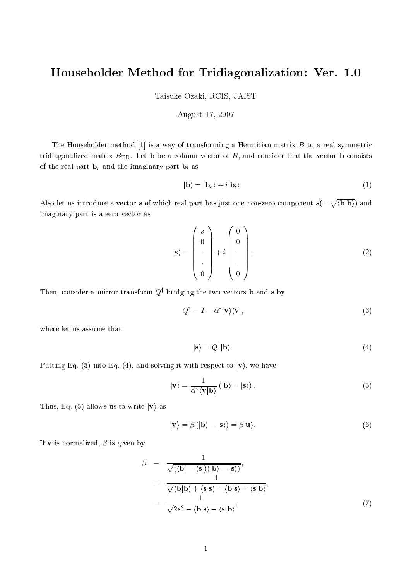## Householder Method for Tridiagonalization: Ver. 1.0

Taisuke Ozaki, RCIS, JAIST

## August 17, 2007

The Householder method [1] is a way of transforming a Hermitian matrix  $B$  to a real symmetric tridiagonalized matrix  $B_{\text{TD}}$ . Let **b** be a column vector of B, and consider that the vector **b** consists of the real part  $\mathbf{b}_r$  and the imaginary part  $\mathbf{b}_i$  as

$$
|\mathbf{b}\rangle = |\mathbf{b}_r\rangle + i|\mathbf{b}_i\rangle. \tag{1}
$$

Also let us introduce a vector s of which real part has just one non-zero component  $s(=\sqrt{\langle b|b \rangle})$  and imaginary part is a zero vector as

$$
|\mathbf{s}\rangle = \begin{pmatrix} s \\ 0 \\ \cdot \\ \cdot \\ 0 \end{pmatrix} + i \begin{pmatrix} 0 \\ 0 \\ \cdot \\ \cdot \\ 0 \end{pmatrix} . \tag{2}
$$

I nen, consider a mirror transform  $Q^+$  bridging the two vectors **b** and **s** by

$$
Q^{\dagger} = I - \alpha^* |\mathbf{v}\rangle\langle\mathbf{v}|,\tag{3}
$$

where let us assume that

$$
|\mathbf{s}\rangle = Q^{\dagger}|\mathbf{b}\rangle.
$$
 (4)

Putting Eq. (3) into Eq. (4), and solving it with respect to  $|v\rangle$ , we have

$$
|\mathbf{v}\rangle = \frac{1}{\alpha^* \langle \mathbf{v} | \mathbf{b} \rangle} (|\mathbf{b}\rangle - |\mathbf{s}\rangle). \tag{5}
$$

Thus, Eq. (5) allows us to write  $|v\rangle$  as

$$
|\mathbf{v}\rangle = \beta (|\mathbf{b}\rangle - |\mathbf{s}\rangle) = \beta |\mathbf{u}\rangle.
$$
 (6)

If **v** is normalized,  $\beta$  is given by

$$
\beta = \frac{1}{\sqrt{(\langle \mathbf{b} | - \langle \mathbf{s} | \rangle (|\mathbf{b}\rangle - |\mathbf{s}\rangle)}},
$$
  
\n
$$
= \frac{1}{\sqrt{\langle \mathbf{b} | \mathbf{b}\rangle + \langle \mathbf{s} | \mathbf{s}\rangle - \langle \mathbf{b} | \mathbf{s}\rangle - \langle \mathbf{s} | \mathbf{b}\rangle}},
$$
  
\n
$$
= \frac{1}{\sqrt{2s^2 - \langle \mathbf{b} | \mathbf{s}\rangle - \langle \mathbf{s} | \mathbf{b}\rangle}}.
$$
(7)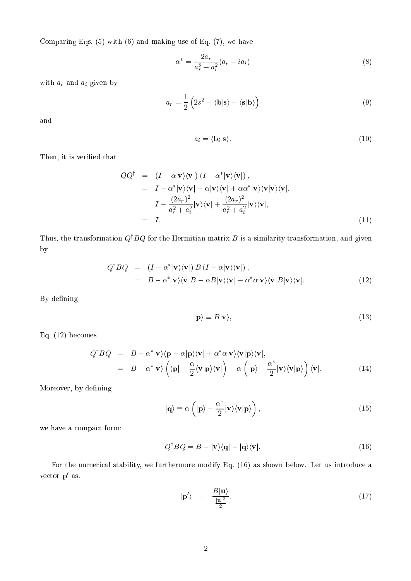Comparing Eqs.  $(5)$  with  $(6)$  and making use of Eq.  $(7)$ , we have

$$
\alpha^* = \frac{2a_r}{a_r^2 + a_i^2} (a_r - ia_i)
$$
\n(8)

with  $a_r$  and  $a_i$  given by

$$
a_r = \frac{1}{2} \left( 2s^2 - \langle \mathbf{b} | \mathbf{s} \rangle - \langle \mathbf{s} | \mathbf{b} \rangle \right) \tag{9}
$$

and

$$
a_i = \langle \mathbf{b}_i | \mathbf{s} \rangle. \tag{10}
$$

Then, it is verified that

$$
QQ^{\dagger} = (I - \alpha |\mathbf{v}\rangle\langle\mathbf{v}|) (I - \alpha^* |\mathbf{v}\rangle\langle\mathbf{v}|),
$$
  
\n
$$
= I - \alpha^* |\mathbf{v}\rangle\langle\mathbf{v}| - \alpha |\mathbf{v}\rangle\langle\mathbf{v}| + \alpha \alpha^* |\mathbf{v}\rangle\langle\mathbf{v}|\mathbf{v}\rangle\langle\mathbf{v}|,
$$
  
\n
$$
= I - \frac{(2a_r)^2}{a_r^2 + a_i^2} |\mathbf{v}\rangle\langle\mathbf{v}| + \frac{(2a_r)^2}{a_r^2 + a_i^2} |\mathbf{v}\rangle\langle\mathbf{v}|,
$$
  
\n
$$
= I.
$$
 (11)

Thus, the transformation  $Q^{\dagger}BQ$  for the Hermitian matrix B is a similarity transformation, and given by

$$
Q^{\dagger} B Q = (I - \alpha^* | \mathbf{v} \rangle \langle \mathbf{v} |) B (I - \alpha | \mathbf{v} \rangle \langle \mathbf{v} |),
$$
  
=  $B - \alpha^* | \mathbf{v} \rangle \langle \mathbf{v} | B - \alpha B | \mathbf{v} \rangle \langle \mathbf{v} | + \alpha^* \alpha | \mathbf{v} \rangle \langle \mathbf{v} | B | \mathbf{v} \rangle \langle \mathbf{v} |.$  (12)

By defining

$$
|\mathbf{p}\rangle \equiv B|\mathbf{v}\rangle,\tag{13}
$$

Eq. (12) be
omes

$$
Q^{\dagger} B Q = B - \alpha^* |\mathbf{v}\rangle \langle \mathbf{p} - \alpha |\mathbf{p}\rangle \langle \mathbf{v}| + \alpha^* \alpha |\mathbf{v}\rangle \langle \mathbf{v}|\mathbf{p}\rangle \langle \mathbf{v}|,
$$
  
= 
$$
B - \alpha^* |\mathbf{v}\rangle \left( \langle \mathbf{p} | -\frac{\alpha}{2} \langle \mathbf{v} | \mathbf{p}\rangle \langle \mathbf{v} | \right) - \alpha \left( |\mathbf{p}\rangle - \frac{\alpha^*}{2} |\mathbf{v}\rangle \langle \mathbf{v} | \mathbf{p}\rangle \right) \langle \mathbf{v} |.
$$
 (14)

Moreover, by defining

$$
|\mathbf{q}\rangle \equiv \alpha \left( |\mathbf{p}\rangle - \frac{\alpha^*}{2} |\mathbf{v}\rangle \langle \mathbf{v} | \mathbf{p} \rangle \right), \tag{15}
$$

we have a ompa
t form:

$$
Q^{\dagger} B Q = B - |\mathbf{v}\rangle\langle\mathbf{q}| - |\mathbf{q}\rangle\langle\mathbf{v}|. \tag{16}
$$

For the numerical stability, we furthermore modify Eq. (16) as shown below. Let us introduce a vector **p** as.

$$
|\mathbf{p}'\rangle = \frac{B|\mathbf{u}\rangle}{\frac{|\mathbf{u}|^2}{2}}.\tag{17}
$$